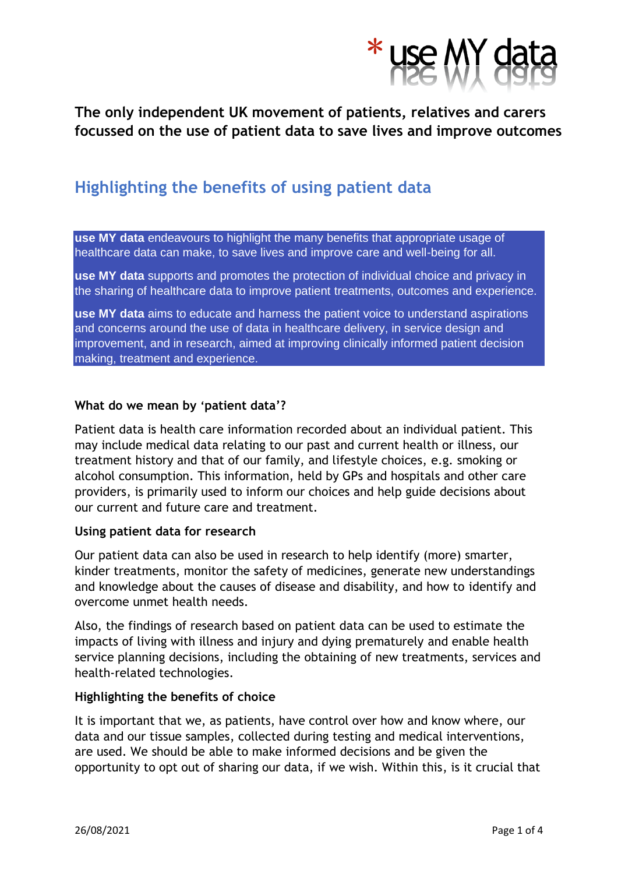

## **The only independent UK movement of patients, relatives and carers focussed on the use of patient data to save lives and improve outcomes**

# **Highlighting the benefits of using patient data**

**use MY data** endeavours to highlight the many benefits that appropriate usage of healthcare data can make, to save lives and improve care and well-being for all.

**use MY data** supports and promotes the protection of individual choice and privacy in the sharing of healthcare data to improve patient treatments, outcomes and experience.

**use MY data** aims to educate and harness the patient voice to understand aspirations and concerns around the use of data in healthcare delivery, in service design and improvement, and in research, aimed at improving clinically informed patient decision making, treatment and experience.

## **What do we mean by 'patient data'?**

Patient data is health care information recorded about an individual patient. This may include medical data relating to our past and current health or illness, our treatment history and that of our family, and lifestyle choices, e.g. smoking or alcohol consumption. This information, held by GPs and hospitals and other care providers, is primarily used to inform our choices and help guide decisions about our current and future care and treatment.

#### **Using patient data for research**

Our patient data can also be used in research to help identify (more) smarter, kinder treatments, monitor the safety of medicines, generate new understandings and knowledge about the causes of disease and disability, and how to identify and overcome unmet health needs.

Also, the findings of research based on patient data can be used to estimate the impacts of living with illness and injury and dying prematurely and enable health service planning decisions, including the obtaining of new treatments, services and health-related technologies.

#### **Highlighting the benefits of choice**

It is important that we, as patients, have control over how and know where, our data and our tissue samples, collected during testing and medical interventions, are used. We should be able to make informed decisions and be given the opportunity to opt out of sharing our data, if we wish. Within this, is it crucial that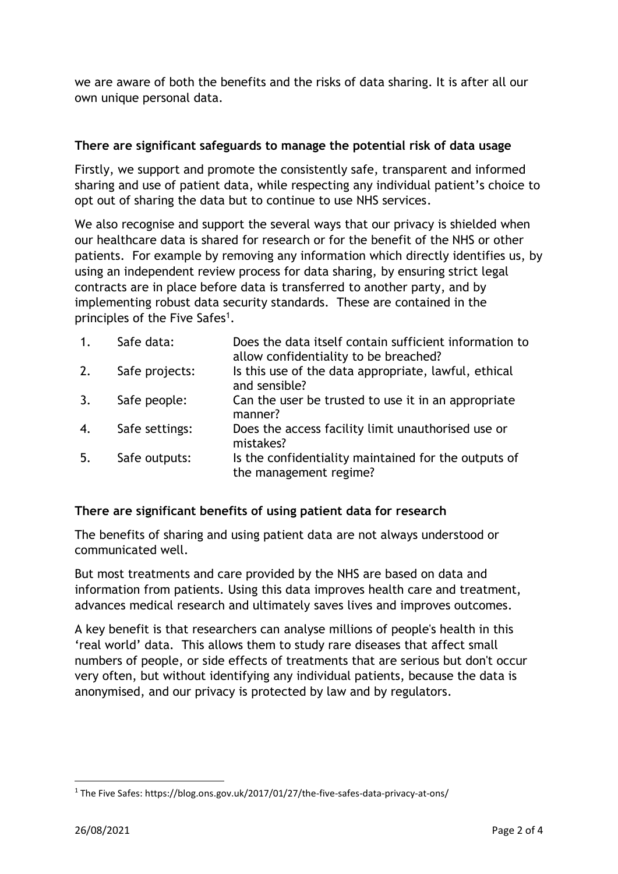we are aware of both the benefits and the risks of data sharing. It is after all our own unique personal data.

## **There are significant safeguards to manage the potential risk of data usage**

Firstly, we support and promote the consistently safe, transparent and informed sharing and use of patient data, while respecting any individual patient's choice to opt out of sharing the data but to continue to use NHS services.

We also recognise and support the several ways that our privacy is shielded when our healthcare data is shared for research or for the benefit of the NHS or other patients. For example by removing any information which directly identifies us, by using an independent review process for data sharing, by ensuring strict legal contracts are in place before data is transferred to another party, and by implementing robust data security standards. These are contained in the principles of the Five Safes<sup>1</sup>.

| $\mathbf{1}$ . | Safe data:     | Does the data itself contain sufficient information to<br>allow confidentiality to be breached? |
|----------------|----------------|-------------------------------------------------------------------------------------------------|
| 2.             | Safe projects: | Is this use of the data appropriate, lawful, ethical<br>and sensible?                           |
| 3.             | Safe people:   | Can the user be trusted to use it in an appropriate<br>manner?                                  |
| 4.             | Safe settings: | Does the access facility limit unauthorised use or<br>mistakes?                                 |
| 5.             | Safe outputs:  | Is the confidentiality maintained for the outputs of<br>the management regime?                  |

## **There are significant benefits of using patient data for research**

The benefits of sharing and using patient data are not always understood or communicated well.

But most treatments and care provided by the NHS are based on data and information from patients. Using this data improves health care and treatment, advances medical research and ultimately saves lives and improves outcomes.

A key benefit is that researchers can analyse millions of people's health in this 'real world' data. This allows them to study rare diseases that affect small numbers of people, or side effects of treatments that are serious but don't occur very often, but without identifying any individual patients, because the data is anonymised, and our privacy is protected by law and by regulators.

<sup>&</sup>lt;sup>1</sup> The Five Safes: https://blog.ons.gov.uk/2017/01/27/the-five-safes-data-privacy-at-ons/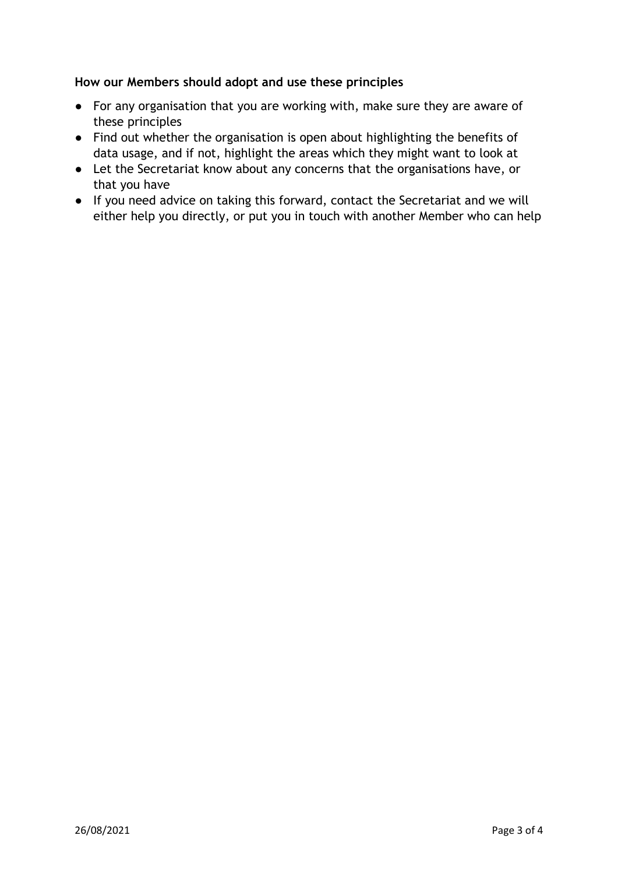## **How our Members should adopt and use these principles**

- For any organisation that you are working with, make sure they are aware of these principles
- Find out whether the organisation is open about highlighting the benefits of data usage, and if not, highlight the areas which they might want to look at
- Let the Secretariat know about any concerns that the organisations have, or that you have
- If you need advice on taking this forward, contact the Secretariat and we will either help you directly, or put you in touch with another Member who can help